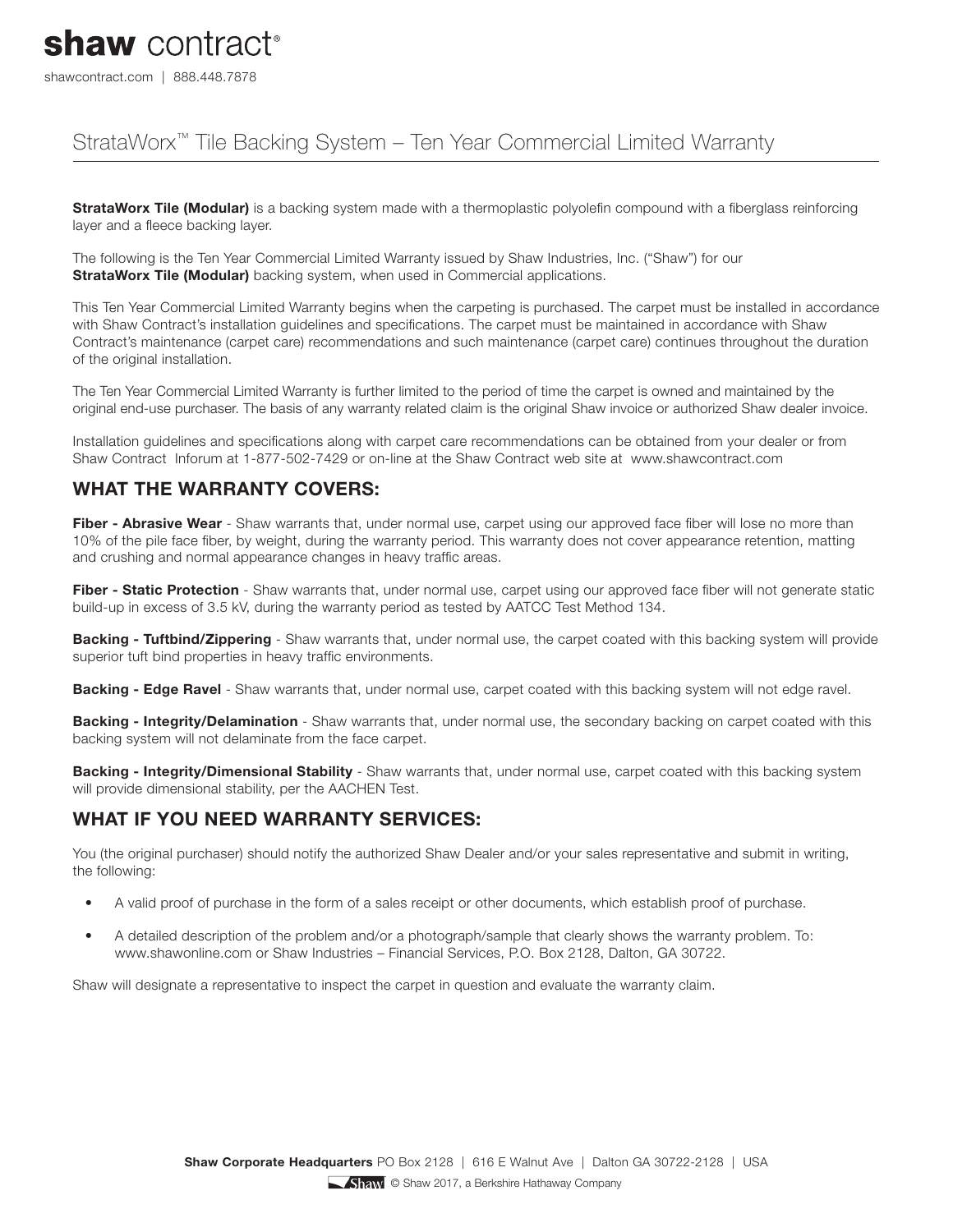# shaw contract<sup>®</sup>

shawcontract.com | 888.448.7878

### StrataWorx™ Tile Backing System – Ten Year Commercial Limited Warranty

**StrataWorx Tile (Modular)** is a backing system made with a thermoplastic polyolefin compound with a fiberglass reinforcing layer and a fleece backing layer.

The following is the Ten Year Commercial Limited Warranty issued by Shaw Industries, Inc. ("Shaw") for our **StrataWorx Tile (Modular)** backing system, when used in Commercial applications.

This Ten Year Commercial Limited Warranty begins when the carpeting is purchased. The carpet must be installed in accordance with Shaw Contract's installation guidelines and specifications. The carpet must be maintained in accordance with Shaw Contract's maintenance (carpet care) recommendations and such maintenance (carpet care) continues throughout the duration of the original installation.

The Ten Year Commercial Limited Warranty is further limited to the period of time the carpet is owned and maintained by the original end-use purchaser. The basis of any warranty related claim is the original Shaw invoice or authorized Shaw dealer invoice.

Installation guidelines and specifications along with carpet care recommendations can be obtained from your dealer or from Shaw Contract Inforum at 1-877-502-7429 or on-line at the Shaw Contract web site at www.shawcontract.com

#### **WHAT THE WARRANTY COVERS:**

Fiber - Abrasive Wear - Shaw warrants that, under normal use, carpet using our approved face fiber will lose no more than 10% of the pile face fiber, by weight, during the warranty period. This warranty does not cover appearance retention, matting and crushing and normal appearance changes in heavy traffic areas.

Fiber - Static Protection - Shaw warrants that, under normal use, carpet using our approved face fiber will not generate static build-up in excess of 3.5 kV, during the warranty period as tested by AATCC Test Method 134.

**Backing - Tuftbind/Zippering** - Shaw warrants that, under normal use, the carpet coated with this backing system will provide superior tuft bind properties in heavy traffic environments.

**Backing - Edge Ravel** - Shaw warrants that, under normal use, carpet coated with this backing system will not edge ravel.

**Backing - Integrity/Delamination** - Shaw warrants that, under normal use, the secondary backing on carpet coated with this backing system will not delaminate from the face carpet.

**Backing - Integrity/Dimensional Stability** - Shaw warrants that, under normal use, carpet coated with this backing system will provide dimensional stability, per the AACHEN Test.

#### **WHAT IF YOU NEED WARRANTY SERVICES:**

You (the original purchaser) should notify the authorized Shaw Dealer and/or your sales representative and submit in writing, the following:

- A valid proof of purchase in the form of a sales receipt or other documents, which establish proof of purchase.
- A detailed description of the problem and/or a photograph/sample that clearly shows the warranty problem. To: www.shawonline.com or Shaw Industries – Financial Services, P.O. Box 2128, Dalton, GA 30722.

Shaw will designate a representative to inspect the carpet in question and evaluate the warranty claim.